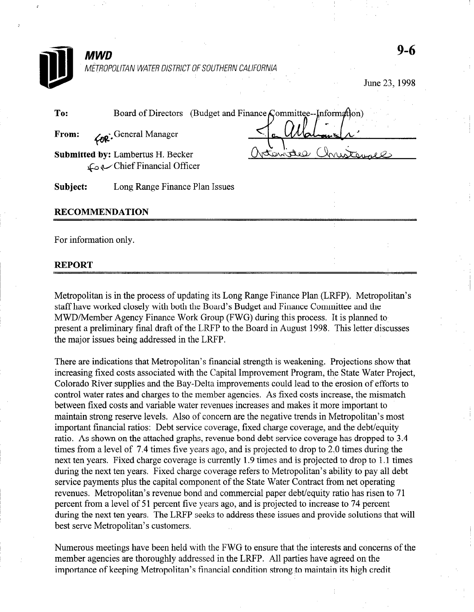| <b>MWD</b>            |                                                                | 9-6           |
|-----------------------|----------------------------------------------------------------|---------------|
|                       | METROPOLITAN WATER DISTRICT OF SOUTHERN CALIFORNIA             | June 23, 1998 |
| To:                   | Board of Directors (Budget and Finance Committee--Information) |               |
| From:                 | <b>For</b> : General Manager                                   |               |
|                       | Submitted by: Lambertus H. Becker<br>Chief Financial Officer   |               |
| Subject:              | Long Range Finance Plan Issues                                 |               |
|                       | <b>RECOMMENDATION</b>                                          |               |
| For information only. |                                                                |               |
| RFPORT                |                                                                |               |

Metropolitan is in the process of updating its Long Range Finance Plan (LRFP). Metropolitan's staff have worked closely with both the Board's Budget and Finance Committee and the MWD/Member Agency Finance Work Group (FWG) during this process. It is planned to' present a preliminary final draft of the LRFP to the Board in August 1998. This letter discusses the major issues being addressed in the LRFP.

There are indications that Metropolitan's financial strength is weakening. Projections show that increasing fixed costs associated with the Capital Improvement Program, the State Water Project, Colorado River supplies and the Bay-Delta improvements could lead to the erosion of efforts to control water rates and charges to the member agencies. As fixed costs increase, the mismatch between fixed costs and variable water revenues increases and makes it more important to maintain strong reserve levels. Also of concern are the negative trends in Metropolitan's most important financial ratios: Debt service coverage, fixed charge coverage, and the debt/equity ratio. As shown on the attached graphs, revenue bond debt service coverage has dropped to 3.4 times from a level of 7.4 times five years ago, and is projected to drop to 2.0 times during the next ten years. Fixed charge coverage is currently 1.9 times and is projected to drop to 1.1 times during the next ten years. Fixed charge coverage refers to Metropolitan's ability to pay all debt service payments plus the capital component of the State Water Contract from net operating revenues. Metropolitan's revenue bond and commercial paper debt/equity ratio has risen to 71 percent from a level of 51 percent five years ago, and is projected to increase to 74 percent during the next ten years. The LRFP seeks to address these issues and provide solutions that will best serve Metropolitan's customers.

Numerous meetings have been held with the FWG to ensure that the interests and concerns of the member agencies are thoroughly addressed in the LRFP. All parties have agreed on the importance of keeping Metropolitan's financial condition strong to maintain its high credit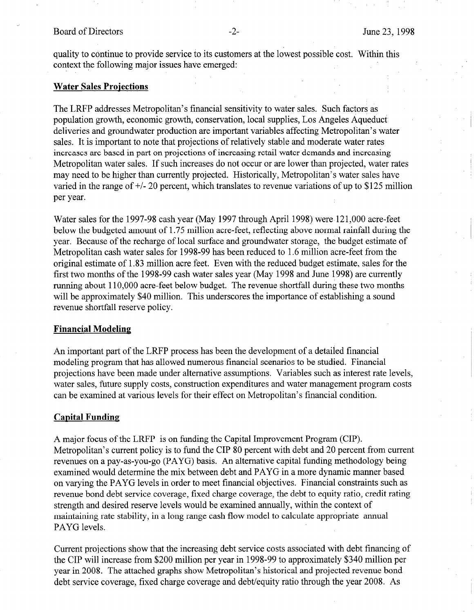quality to continue to provide service to its customers at the lowest possible cost. Within this context the following major issues have emerged:

# **Water Sales Projections**

The LRFP addresses Metropolitan's financial sensitivity to water sales. Such factors as population growth, economic growth, conservation, local supplies, Los Angeles Aqueduct deliveries and groundwater production are important variables affecting Metropolitan's water sales. It is important to note that projections of relatively stable and moderate water rates increases are based in part on projections of increasing retail water demands and increasing Metropolitan water sales. If such increases do not occur or are lower than projected, water rates may need to be higher than currently projected. Historically, Metropolitan's water sales have varied in the range of +/- 20 percent, which translates to revenue variations of up to \$125 million per year.

Water sales for the 1997-98 cash year (May 1997 through April 1998) were 121,000 acre-feet below the budgeted amount of 1.75 million acre-feet, reflecting above normal rainfall during the year. Because of the recharge of local surface and groundwater storage, the budget estimate of Metropolitan cash water sales for 1998-99 has been reduced to 1.6 million acre-feet from the original estimate of 1.83 million acre feet. Even with the reduced budget estimate, sales for the first two months of the 1998-99 cash water sales year (May 1998 and June 1998) are currently running about 110,000 acre-feet below budget. The revenue shortfall during these two months will be approximately \$40 million. This underscores the importance of establishing a sound revenue shortfall reserve policy.

## Financial Modeling

An important part of the LRFP process has been the development of a detailed financial modeling program that has allowed numerous financial scenarios to be studied. Financial projections have been made under alternative assumptions. Variables such as interest rate levels, water sales, future supply costs, construction expenditures and water management program costs can be examined at various levels for their effect on Metropolitan's financial condition.

## Capital Funding

A major focus of the LRFP is on funding the Capital Improvement Program (CIP). Metropolitan's current policy is to fund the CIP 80 percent with debt and 20 percent from current revenues on a pay-as-you-go (PAYG) basis. An alternative capital funding methodology being examined would determine the mix between debt and PAYG in a more dynamic manner based on varying the PAYG levels in order to meet financial objectives. Financial constraints such as revenue bond debt service coverage, fixed charge coverage, the debt to equity ratio, credit rating strength and desired reserve levels would be examined annually, within the context of maintaining rate stability, in a long range cash flow model to calculate appropriate annual PAYG levels.

Current projections show that the increasing debt service costs associated with debt financing of the CIP will increase from \$200 million per year in 1998-99 to approximately \$340 million per year in 2008. The attached graphs show Metropolitan's historical and projected revenue bond debt service coverage, fixed charge coverage and debt/equity ratio through the year 2008. As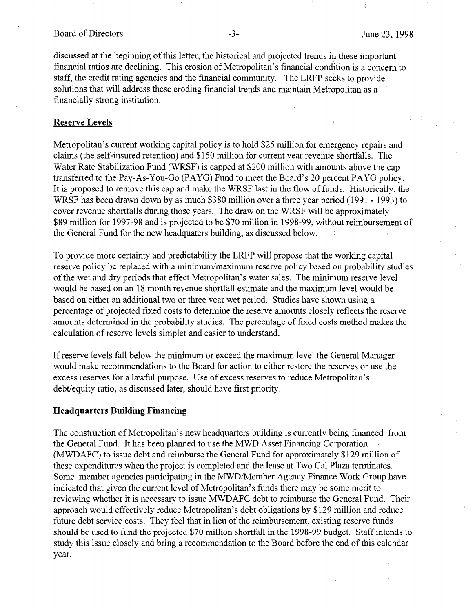### Board of Directors -3- June 23, 1998

discussed at the beginning of this letter, the historical and projected trends in these important financial ratios are declining. This erosion of Metropolitan's financial condition is a concern to staff, the credit rating agencies and the financial community. The LRFP seeks to provide solutions that will address these eroding financial trends and maintain Metropolitan as a financially strong institution.

### Reserve Levels

Metropolitan's current working capital policy is to hold \$25 million for emergency repairs and claims (the self-insured retention) and \$150 million for current year revenue shortfalls. The Water Rate Stabilization Fund (WRSF) is capped at \$200 million with amounts above the cap transferred to the Pay-As-You-Go (PAYG) Fund to meet the Board's 20 percent PAYG policy. It is proposed to remove this cap and make the WRSF last in the flow of funds. Historically, the WRSF has been drawn down by as much \$380 million over a three year period (1991 - 1993) to cover revenue shortfalls during those years. The draw on the WRSF will be approximately \$89 million for 1997-98 and is projected to be \$70 million in 1998-99, without reimbursement of the General Fund for the new headquaters building, as discussed below.

To provide more certainty and predictability the LRFP will propose that the working capital reserve policy be replaced with a minimum/maximum reserve policy based on probability studies of the wet and dry periods that effect Metropolitan's water sales. The minimum reserve level would be based on an 18 month revenue shortfall estimate and the maximum level would be based on either an additional two or three year wet period. Studies have shown using a percentage of projected fixed costs to determine the reserve amounts closely reflects the reserve percentage of projected fixed costs to determine the reserve amounts crosery reflects the reserve amounts determined in the probability studies. The percental

If reserve levels fall below the minimum or exceed the maximum level the General Manager If reserve levels ran below the Billiamum of exceed the maximum level the General Manager would make recommendations to the Board for action to either restore the reserves or use the excess reserves for a lawful purpose. Use of excess reserves to reduce Metropolitan's debt/equity ratio, as discussed later, should have first priority.

The construction of Metropolitan's new headquarters building is currently being financed from The construction of Metropolitan's new headquarters building is currently being financed from the General Fund. It has been planned to use the MWD Asset Financing Corporation  $(MWDAFC)$  to issue debt and reimburse the General Fund for approximately \$129 million of these expenditures when the project is completed and the lease at Two Cal Plaza terminates. Some member agencies participating in the MWD/Member Agency Finance Work Group have indicated that given the current level of Metropolitan's funds there may be some merit to reviewing whether it is necessary to issue MWDAFC debt to reimburse the General Fund. Their approach would effectively reduce Metropolitan's debt obligations by \$129 million and reduce future debt service costs. They feel that in lieu of the reimbursement, existing reserve funds should be used to fund the projected \$70 million shortfall in the 1998-99 budget. Staff intends to study this issue closely and bring a recommendation to the Board before the end of this calendar year.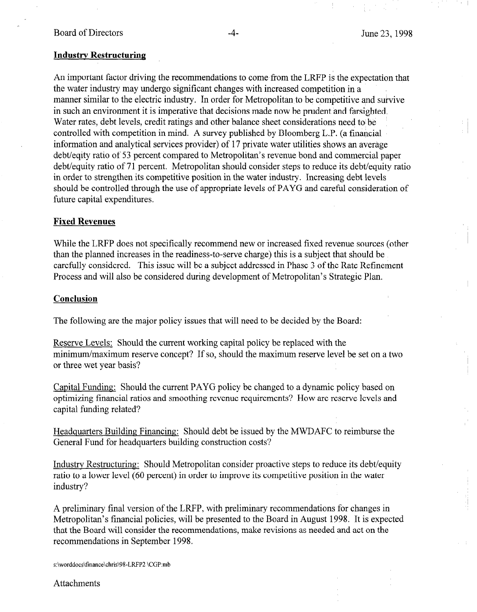# Industrv Restructuring

An important factor driving the recommendations to come from the LRFP is the expectation that the water industry may undergo significant changes with increased competition in a manner similar to the electric industry. In order for Metropolitan to be competitive and survive in such an environment it is imperative that decisions made now be prudent and farsighted. Water rates, debt levels, credit ratings and other balance sheet considerations need to be controlled with competition in mind. A survey published by Bloomberg L.P. (a financial information and analytical services provider) of 17 private water utilities shows an average debt/eqity ratio of 53 percent compared to Metropolitan's revenue bond and commercial paper debt/equity ratio of 71 percent. Metropolitan should consider steps to reduce its debt/equity ratio in order to strengthen its competitive position in the water industry. Increasing debt levels should be controlled through the use of appropriate levels of PAYG and careful consideration of future capital expenditures.

# Fixed Revenues

While the LRFP does not specifically recommend new or increased fixed revenue sources (other than the planned increases in the readiness-to-serve charge) this is a subject that should be carefully considered. This issue will be a subject addressed in Phase 3 of the Rate Refinement Process and will also be considered during development of Metropolitan's Strategic Plan.

# **Conclusion**

The following are the major policy issues that will need to be decided by the Board:

Reserve Levels: Should the current working capital policy be replaced with the meserve Levels. Should the current working capital policy of replaced with the minimum/maximum res

 $\frac{q}{q}$  ratio final ratio final requirement  $P_A$  is the policy because to a dynamic policy based on optimizing financial ratios and smoothing revenue requirements? How are reserve levels and capital funding related?

Headquarters Building Financing: Should debt be issued by the MWDAFC to reimburse the Headquarters Building Financing: Should debt be issued by the MWDAFC to reimburse the General Fund for headquarters building construction costs?

Industry Restructuring: Should Metropolitan consider proactive steps to reduce its debt/equity ratio to a lower level (60 percent) in order to improve its competitive position in the water industry?

A preliminary final version of the LRFP, with preliminary recommendations for changes in  $\mathcal{C}$ 

A preliminary final version of the LRFP, with preliminary recommendations for changes in Metropolitan's financial policies, will be presented to the Board in August 1998. It is expected that the Board will consider the recommendations, make revisions as needed and act on the recommendations in September 1998.

Attachments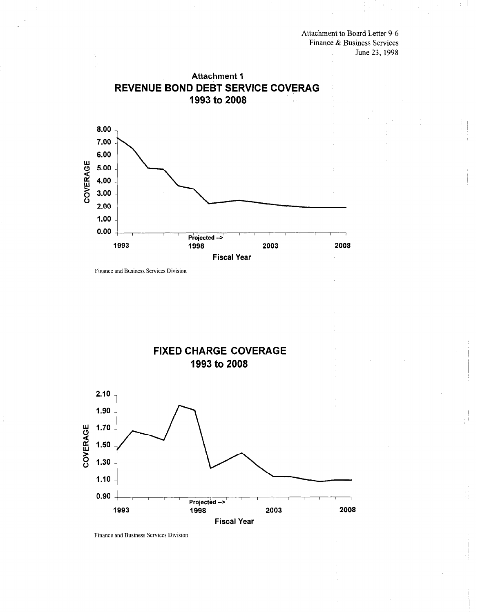Attachment to Board Letter 9-6 Finance & Business Services June 23,1998



Finance and Business Services Division



Finance and Business Services Division